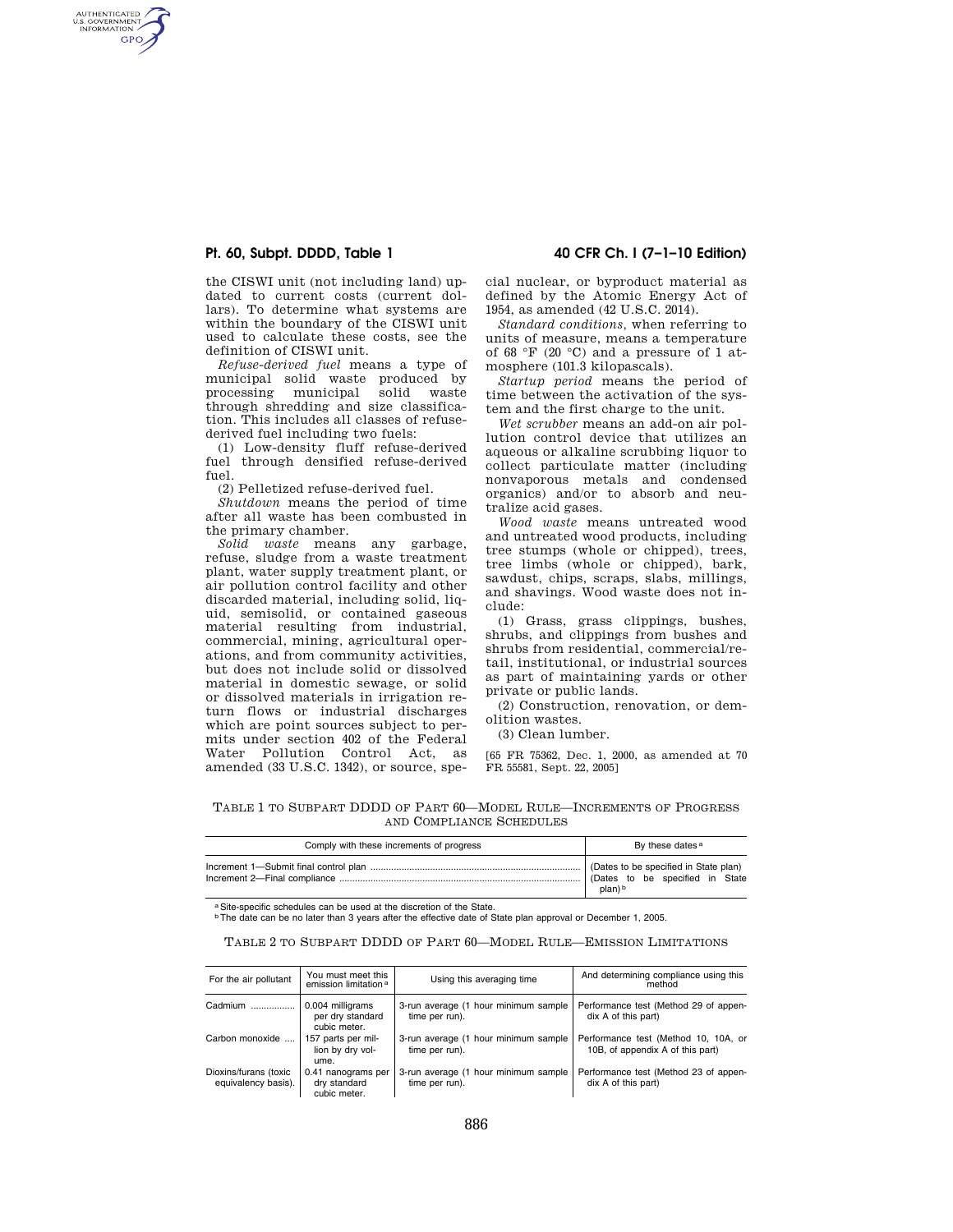# **Pt. 60, Subpt. DDDD, Table 1 40 CFR Ch. I (7–1–10 Edition)**

AUTHENTICATED<br>U.S. GOVERNMENT<br>INFORMATION **GPO** 

> the CISWI unit (not including land) updated to current costs (current dollars). To determine what systems are within the boundary of the CISWI unit used to calculate these costs, see the definition of CISWI unit.

> *Refuse-derived fuel* means a type of municipal solid waste produced by processing municipal solid waste through shredding and size classification. This includes all classes of refusederived fuel including two fuels:

(1) Low-density fluff refuse-derived fuel through densified refuse-derived fuel.

(2) Pelletized refuse-derived fuel.

*Shutdown* means the period of time after all waste has been combusted in the primary chamber.

*Solid waste* means any garbage, refuse, sludge from a waste treatment plant, water supply treatment plant, or air pollution control facility and other discarded material, including solid, liquid, semisolid, or contained gaseous material resulting from industrial, commercial, mining, agricultural operations, and from community activities, but does not include solid or dissolved material in domestic sewage, or solid or dissolved materials in irrigation return flows or industrial discharges which are point sources subject to permits under section 402 of the Federal Water Pollution Control Act, as amended (33 U.S.C. 1342), or source, spe-

cial nuclear, or byproduct material as defined by the Atomic Energy Act of 1954, as amended (42 U.S.C. 2014).

*Standard conditions,* when referring to units of measure, means a temperature of 68 °F (20 °C) and a pressure of 1 atmosphere (101.3 kilopascals).

*Startup period* means the period of time between the activation of the system and the first charge to the unit.

*Wet scrubber* means an add-on air pollution control device that utilizes an aqueous or alkaline scrubbing liquor to collect particulate matter (including nonvaporous metals and condensed organics) and/or to absorb and neutralize acid gases.

*Wood waste* means untreated wood and untreated wood products, including tree stumps (whole or chipped), trees, tree limbs (whole or chipped), bark, sawdust, chips, scraps, slabs, millings, and shavings. Wood waste does not include:

(1) Grass, grass clippings, bushes, shrubs, and clippings from bushes and shrubs from residential, commercial/retail, institutional, or industrial sources as part of maintaining yards or other private or public lands.

(2) Construction, renovation, or demolition wastes.

(3) Clean lumber.

[65 FR 75362, Dec. 1, 2000, as amended at 70 FR 55581, Sept. 22, 2005]

TABLE 1 TO SUBPART DDDD OF PART 60—MODEL RULE—INCREMENTS OF PROGRESS AND COMPLIANCE SCHEDULES

| Comply with these increments of progress | By these dates <sup>a</sup>     |  |
|------------------------------------------|---------------------------------|--|
|                                          | (Dates to be specified in State |  |
|                                          | plan) b                         |  |

a Site-specific schedules can be used at the discretion of the State.<br><sup>b</sup> The date can be no later than 3 years after the effective date of State plan approval or December 1, 2005.

TABLE 2 TO SUBPART DDDD OF PART 60—MODEL RULE—EMISSION LIMITATIONS

| For the air pollutant                        | You must meet this<br>emission limitation <sup>a</sup> | Using this averaging time                              | And determining compliance using this<br>method                          |
|----------------------------------------------|--------------------------------------------------------|--------------------------------------------------------|--------------------------------------------------------------------------|
| Cadmium                                      | 0.004 milligrams<br>per dry standard<br>cubic meter.   | 3-run average (1 hour minimum sample<br>time per run). | Performance test (Method 29 of appen-<br>dix A of this part)             |
| Carbon monoxide                              | 157 parts per mil-<br>lion by dry vol-<br>ume.         | 3-run average (1 hour minimum sample<br>time per run). | Performance test (Method 10, 10A, or<br>10B, of appendix A of this part) |
| Dioxins/furans (toxic<br>equivalency basis). | 0.41 nanograms per<br>dry standard<br>cubic meter.     | 3-run average (1 hour minimum sample<br>time per run). | Performance test (Method 23 of appen-<br>dix A of this part)             |